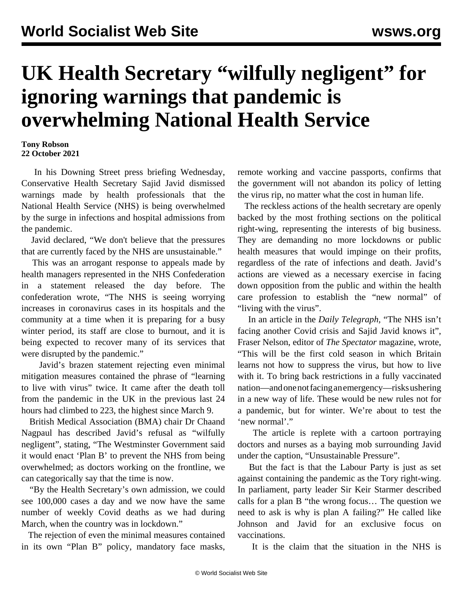## **UK Health Secretary "wilfully negligent" for ignoring warnings that pandemic is overwhelming National Health Service**

**Tony Robson 22 October 2021**

 In his Downing Street press briefing Wednesday, Conservative Health Secretary Sajid Javid dismissed warnings made by health professionals that the National Health Service (NHS) is being overwhelmed by the surge in infections and hospital admissions from the pandemic.

 Javid declared, "We don't believe that the pressures that are currently faced by the NHS are unsustainable."

 This was an arrogant response to appeals made by health managers represented in the NHS Confederation in a statement released the day before. The confederation wrote, "The NHS is seeing worrying increases in coronavirus cases in its hospitals and the community at a time when it is preparing for a busy winter period, its staff are close to burnout, and it is being expected to recover many of its services that were disrupted by the pandemic."

 Javid's [brazen statement](/en/articles/2021/10/21/couk-o21.html) rejecting even minimal mitigation measures contained the phrase of "learning to live with virus" twice. It came after the death toll from the pandemic in the UK in the previous last 24 hours had climbed to 223, the highest since March 9.

 British Medical Association (BMA) chair Dr Chaand Nagpaul has described Javid's refusal as "wilfully negligent", stating, "The Westminster Government said it would enact 'Plan B' to prevent the NHS from being overwhelmed; as doctors working on the frontline, we can categorically say that the time is now.

 "By the Health Secretary's own admission, we could see 100,000 cases a day and we now have the same number of weekly Covid deaths as we had during March, when the country was in lockdown."

 The rejection of even the minimal measures contained in its own "Plan B" policy, mandatory face masks,

remote working and vaccine passports, confirms that the government will not abandon its policy of letting the virus rip, no matter what the cost in human life.

 The reckless actions of the health secretary are openly backed by the most frothing sections on the political right-wing, representing the interests of big business. They are demanding no more lockdowns or public health measures that would impinge on their profits, regardless of the rate of infections and death. Javid's actions are viewed as a necessary exercise in facing down opposition from the public and within the health care profession to establish the "new normal" of "living with the virus".

 In an article in the *Daily Telegraph,* "The NHS isn't facing another Covid crisis and Sajid Javid knows it", Fraser Nelson, editor of *The Spectator* magazine, wrote, "This will be the first cold season in which Britain learns not how to suppress the virus, but how to live with it. To bring back restrictions in a fully vaccinated nation—and one not facing an emergency—risks ushering in a new way of life. These would be new rules not for a pandemic, but for winter. We're about to test the 'new normal'."

 The article is replete with a cartoon portraying doctors and nurses as a baying mob surrounding Javid under the caption, "Unsustainable Pressure".

 But the fact is that the Labour Party is just as set against containing the pandemic as the Tory right-wing. In parliament, party leader Sir Keir Starmer described calls for a plan B "the wrong focus… The question we need to ask is why is plan A failing?" He called like Johnson and Javid for an exclusive focus on vaccinations.

It is the claim that the situation in the NHS is